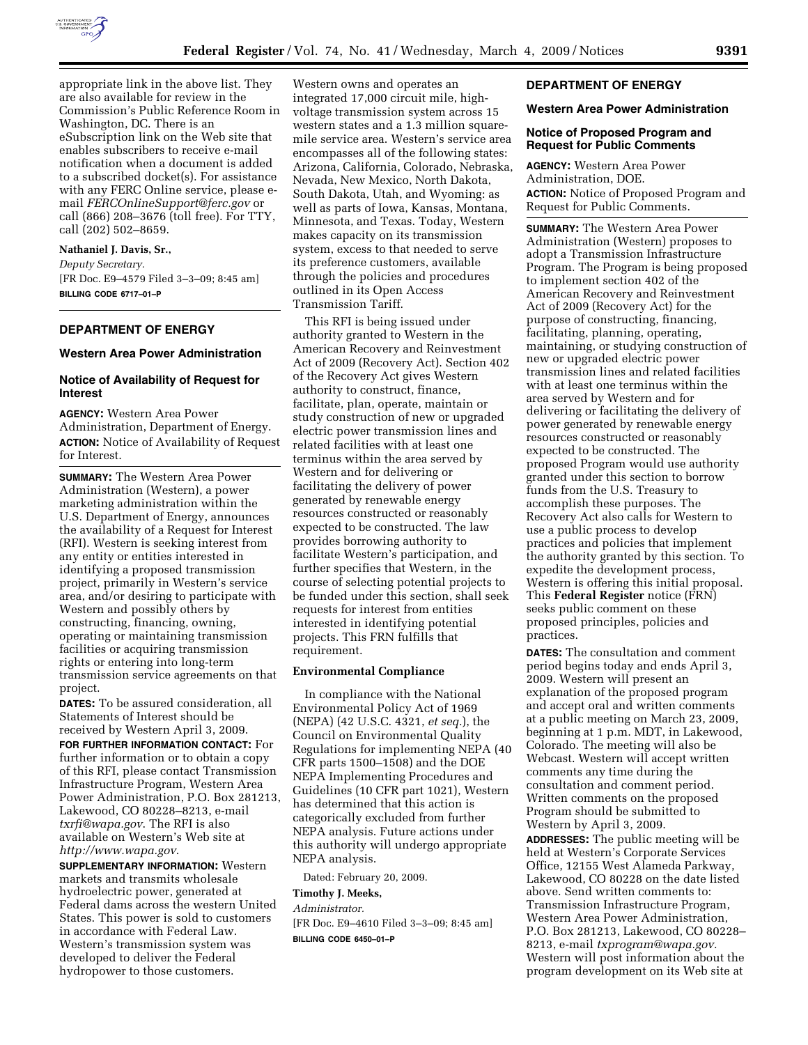

appropriate link in the above list. They are also available for review in the Commission's Public Reference Room in Washington, DC. There is an eSubscription link on the Web site that enables subscribers to receive e-mail notification when a document is added to a subscribed docket(s). For assistance with any FERC Online service, please email *FERCOnlineSupport@ferc.gov* or call (866) 208–3676 (toll free). For TTY, call (202) 502–8659.

#### **Nathaniel J. Davis, Sr.,**

*Deputy Secretary.*  [FR Doc. E9–4579 Filed 3–3–09; 8:45 am]

**BILLING CODE 6717–01–P** 

#### **DEPARTMENT OF ENERGY**

#### **Western Area Power Administration**

# **Notice of Availability of Request for Interest**

**AGENCY:** Western Area Power Administration, Department of Energy. **ACTION:** Notice of Availability of Request for Interest.

**SUMMARY:** The Western Area Power Administration (Western), a power marketing administration within the U.S. Department of Energy, announces the availability of a Request for Interest (RFI). Western is seeking interest from any entity or entities interested in identifying a proposed transmission project, primarily in Western's service area, and/or desiring to participate with Western and possibly others by constructing, financing, owning, operating or maintaining transmission facilities or acquiring transmission rights or entering into long-term transmission service agreements on that project.

**DATES:** To be assured consideration, all Statements of Interest should be received by Western April 3, 2009.

**FOR FURTHER INFORMATION CONTACT:** For further information or to obtain a copy of this RFI, please contact Transmission Infrastructure Program, Western Area Power Administration, P.O. Box 281213, Lakewood, CO 80228–8213, e-mail *txrfi@wapa.gov*. The RFI is also available on Western's Web site at *http://www.wapa.gov*.

**SUPPLEMENTARY INFORMATION:** Western markets and transmits wholesale hydroelectric power, generated at Federal dams across the western United States. This power is sold to customers in accordance with Federal Law. Western's transmission system was developed to deliver the Federal hydropower to those customers.

Western owns and operates an integrated 17,000 circuit mile, highvoltage transmission system across 15 western states and a 1.3 million squaremile service area. Western's service area encompasses all of the following states: Arizona, California, Colorado, Nebraska, Nevada, New Mexico, North Dakota, South Dakota, Utah, and Wyoming: as well as parts of Iowa, Kansas, Montana, Minnesota, and Texas. Today, Western makes capacity on its transmission system, excess to that needed to serve its preference customers, available through the policies and procedures outlined in its Open Access Transmission Tariff.

This RFI is being issued under authority granted to Western in the American Recovery and Reinvestment Act of 2009 (Recovery Act). Section 402 of the Recovery Act gives Western authority to construct, finance, facilitate, plan, operate, maintain or study construction of new or upgraded electric power transmission lines and related facilities with at least one terminus within the area served by Western and for delivering or facilitating the delivery of power generated by renewable energy resources constructed or reasonably expected to be constructed. The law provides borrowing authority to facilitate Western's participation, and further specifies that Western, in the course of selecting potential projects to be funded under this section, shall seek requests for interest from entities interested in identifying potential projects. This FRN fulfills that requirement.

### **Environmental Compliance**

In compliance with the National Environmental Policy Act of 1969 (NEPA) (42 U.S.C. 4321, *et seq.*), the Council on Environmental Quality Regulations for implementing NEPA (40 CFR parts 1500–1508) and the DOE NEPA Implementing Procedures and Guidelines (10 CFR part 1021), Western has determined that this action is categorically excluded from further NEPA analysis. Future actions under this authority will undergo appropriate NEPA analysis.

Dated: February 20, 2009.

# **Timothy J. Meeks,**

#### *Administrator.*

[FR Doc. E9–4610 Filed 3–3–09; 8:45 am] **BILLING CODE 6450–01–P** 

# **DEPARTMENT OF ENERGY**

# **Western Area Power Administration**

# **Notice of Proposed Program and Request for Public Comments**

**AGENCY:** Western Area Power Administration, DOE. **ACTION:** Notice of Proposed Program and Request for Public Comments.

**SUMMARY:** The Western Area Power Administration (Western) proposes to adopt a Transmission Infrastructure Program. The Program is being proposed to implement section 402 of the American Recovery and Reinvestment Act of 2009 (Recovery Act) for the purpose of constructing, financing, facilitating, planning, operating, maintaining, or studying construction of new or upgraded electric power transmission lines and related facilities with at least one terminus within the area served by Western and for delivering or facilitating the delivery of power generated by renewable energy resources constructed or reasonably expected to be constructed. The proposed Program would use authority granted under this section to borrow funds from the U.S. Treasury to accomplish these purposes. The Recovery Act also calls for Western to use a public process to develop practices and policies that implement the authority granted by this section. To expedite the development process, Western is offering this initial proposal. This **Federal Register** notice (FRN) seeks public comment on these proposed principles, policies and practices.

**DATES:** The consultation and comment period begins today and ends April 3, 2009. Western will present an explanation of the proposed program and accept oral and written comments at a public meeting on March 23, 2009, beginning at 1 p.m. MDT, in Lakewood, Colorado. The meeting will also be Webcast. Western will accept written comments any time during the consultation and comment period. Written comments on the proposed Program should be submitted to Western by April 3, 2009. **ADDRESSES:** The public meeting will be held at Western's Corporate Services Office, 12155 West Alameda Parkway, Lakewood, CO 80228 on the date listed above. Send written comments to: Transmission Infrastructure Program, Western Area Power Administration, P.O. Box 281213, Lakewood, CO 80228– 8213, e-mail *txprogram@wapa.gov.*  Western will post information about the program development on its Web site at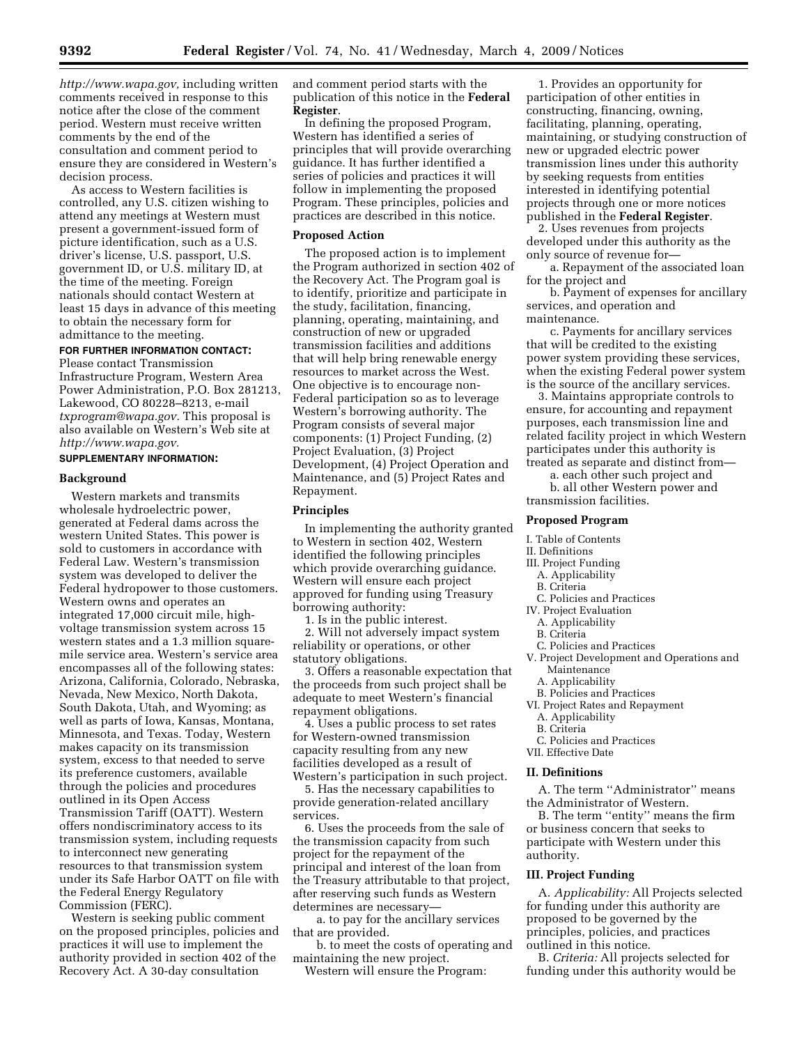*http://www.wapa.gov,* including written comments received in response to this notice after the close of the comment period. Western must receive written comments by the end of the consultation and comment period to ensure they are considered in Western's decision process.

As access to Western facilities is controlled, any U.S. citizen wishing to attend any meetings at Western must present a government-issued form of picture identification, such as a U.S. driver's license, U.S. passport, U.S. government ID, or U.S. military ID, at the time of the meeting. Foreign nationals should contact Western at least 15 days in advance of this meeting to obtain the necessary form for admittance to the meeting.

# **FOR FURTHER INFORMATION CONTACT:**

Please contact Transmission Infrastructure Program, Western Area Power Administration, P.O. Box 281213, Lakewood, CO 80228–8213, e-mail *txprogram@wapa.gov.* This proposal is also available on Western's Web site at *http://www.wapa.gov.* 

# **SUPPLEMENTARY INFORMATION:**

# **Background**

Western markets and transmits wholesale hydroelectric power, generated at Federal dams across the western United States. This power is sold to customers in accordance with Federal Law. Western's transmission system was developed to deliver the Federal hydropower to those customers. Western owns and operates an integrated 17,000 circuit mile, highvoltage transmission system across 15 western states and a 1.3 million squaremile service area. Western's service area encompasses all of the following states: Arizona, California, Colorado, Nebraska, Nevada, New Mexico, North Dakota, South Dakota, Utah, and Wyoming; as well as parts of Iowa, Kansas, Montana, Minnesota, and Texas. Today, Western makes capacity on its transmission system, excess to that needed to serve its preference customers, available through the policies and procedures outlined in its Open Access Transmission Tariff (OATT). Western offers nondiscriminatory access to its transmission system, including requests to interconnect new generating resources to that transmission system under its Safe Harbor OATT on file with the Federal Energy Regulatory Commission (FERC).

Western is seeking public comment on the proposed principles, policies and practices it will use to implement the authority provided in section 402 of the Recovery Act. A 30-day consultation

and comment period starts with the publication of this notice in the **Federal Register**.

In defining the proposed Program, Western has identified a series of principles that will provide overarching guidance. It has further identified a series of policies and practices it will follow in implementing the proposed Program. These principles, policies and practices are described in this notice.

#### **Proposed Action**

The proposed action is to implement the Program authorized in section 402 of the Recovery Act. The Program goal is to identify, prioritize and participate in the study, facilitation, financing, planning, operating, maintaining, and construction of new or upgraded transmission facilities and additions that will help bring renewable energy resources to market across the West. One objective is to encourage non-Federal participation so as to leverage Western's borrowing authority. The Program consists of several major components: (1) Project Funding, (2) Project Evaluation, (3) Project Development, (4) Project Operation and Maintenance, and (5) Project Rates and Repayment.

#### **Principles**

In implementing the authority granted to Western in section 402, Western identified the following principles which provide overarching guidance. Western will ensure each project approved for funding using Treasury borrowing authority:

1. Is in the public interest.

2. Will not adversely impact system reliability or operations, or other statutory obligations.

3. Offers a reasonable expectation that the proceeds from such project shall be adequate to meet Western's financial repayment obligations.

4. Uses a public process to set rates for Western-owned transmission capacity resulting from any new facilities developed as a result of Western's participation in such project.

5. Has the necessary capabilities to provide generation-related ancillary services.

6. Uses the proceeds from the sale of the transmission capacity from such project for the repayment of the principal and interest of the loan from the Treasury attributable to that project, after reserving such funds as Western determines are necessary—

a. to pay for the ancillary services that are provided.

b. to meet the costs of operating and maintaining the new project.

Western will ensure the Program:

1. Provides an opportunity for participation of other entities in constructing, financing, owning, facilitating, planning, operating, maintaining, or studying construction of new or upgraded electric power transmission lines under this authority by seeking requests from entities interested in identifying potential projects through one or more notices published in the **Federal Register**.

2. Uses revenues from projects developed under this authority as the only source of revenue for—

a. Repayment of the associated loan for the project and

b. Payment of expenses for ancillary services, and operation and maintenance.

c. Payments for ancillary services that will be credited to the existing power system providing these services, when the existing Federal power system is the source of the ancillary services.

3. Maintains appropriate controls to ensure, for accounting and repayment purposes, each transmission line and related facility project in which Western participates under this authority is treated as separate and distinct from—

a. each other such project and b. all other Western power and transmission facilities.

# **Proposed Program**

- I. Table of Contents
- II. Definitions III. Project Funding
	- A. Applicability
	- B. Criteria
	- C. Policies and Practices
- IV. Project Evaluation
	- A. Applicability
	- B. Criteria
- C. Policies and Practices
- V. Project Development and Operations and Maintenance
- A. Applicability
- B. Policies and Practices
- VI. Project Rates and Repayment
- A. Applicability
- B. Criteria
- C. Policies and Practices
- VII. Effective Date

#### **II. Definitions**

A. The term ''Administrator'' means the Administrator of Western.

B. The term ''entity'' means the firm or business concern that seeks to participate with Western under this authority.

# **III. Project Funding**

A. *Applicability:* All Projects selected for funding under this authority are proposed to be governed by the principles, policies, and practices outlined in this notice.

B. *Criteria:* All projects selected for funding under this authority would be